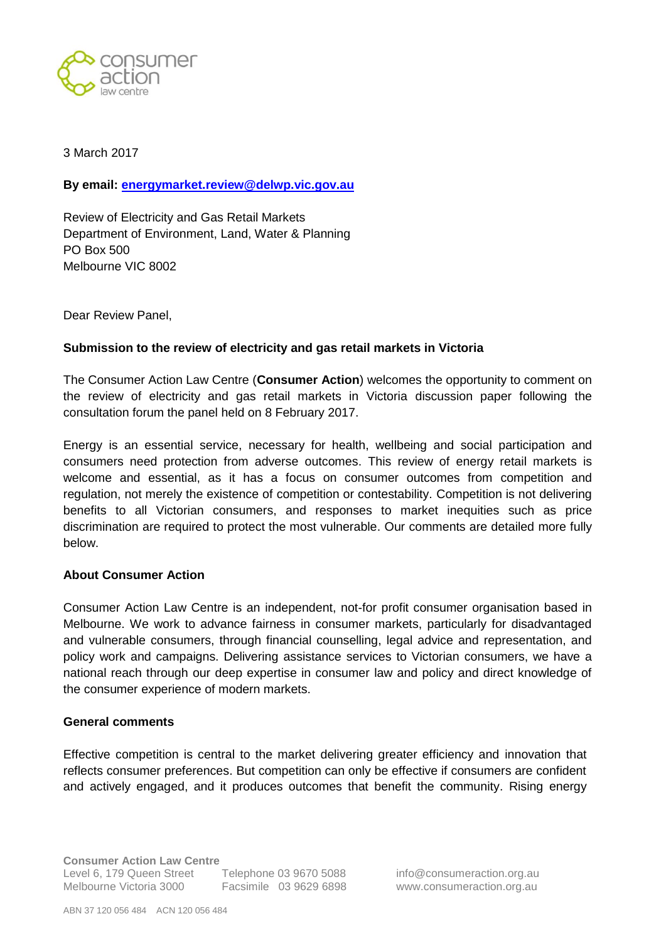

3 March 2017

**By email: [energymarket.review@delwp.vic.gov.au](mailto:energymarket.review@delwp.vic.gov.au)**

Review of Electricity and Gas Retail Markets Department of Environment, Land, Water & Planning PO Box 500 Melbourne VIC 8002

Dear Review Panel,

#### **Submission to the review of electricity and gas retail markets in Victoria**

The Consumer Action Law Centre (**Consumer Action**) welcomes the opportunity to comment on the review of electricity and gas retail markets in Victoria discussion paper following the consultation forum the panel held on 8 February 2017.

Energy is an essential service, necessary for health, wellbeing and social participation and consumers need protection from adverse outcomes. This review of energy retail markets is welcome and essential, as it has a focus on consumer outcomes from competition and regulation, not merely the existence of competition or contestability. Competition is not delivering benefits to all Victorian consumers, and responses to market inequities such as price discrimination are required to protect the most vulnerable. Our comments are detailed more fully below.

#### **About Consumer Action**

Consumer Action Law Centre is an independent, not-for profit consumer organisation based in Melbourne. We work to advance fairness in consumer markets, particularly for disadvantaged and vulnerable consumers, through financial counselling, legal advice and representation, and policy work and campaigns. Delivering assistance services to Victorian consumers, we have a national reach through our deep expertise in consumer law and policy and direct knowledge of the consumer experience of modern markets.

#### **General comments**

Effective competition is central to the market delivering greater efficiency and innovation that reflects consumer preferences. But competition can only be effective if consumers are confident and actively engaged, and it produces outcomes that benefit the community. Rising energy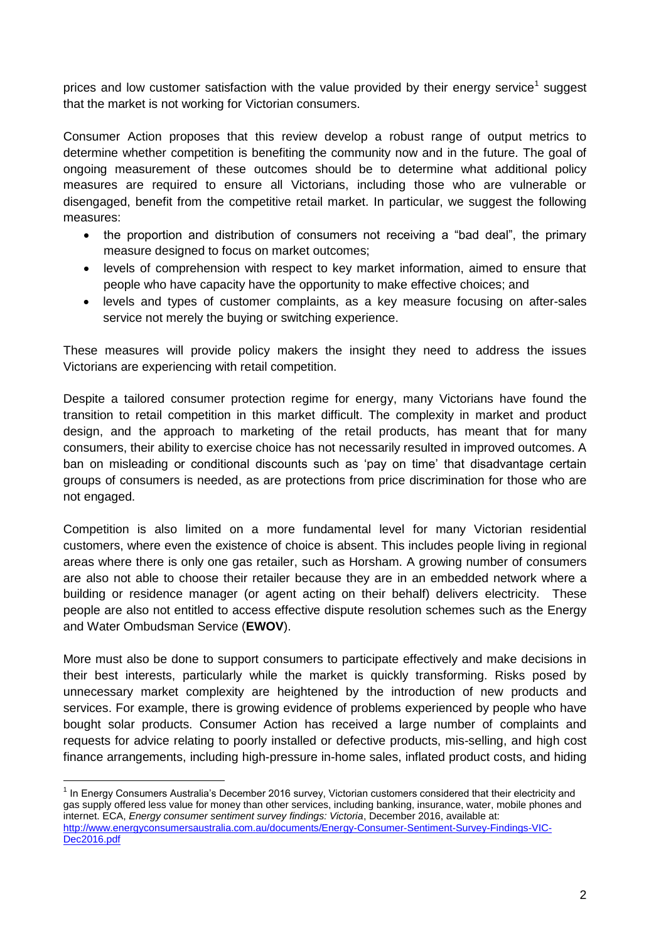prices and low customer satisfaction with the value provided by their energy service<sup>1</sup> suggest that the market is not working for Victorian consumers.

Consumer Action proposes that this review develop a robust range of output metrics to determine whether competition is benefiting the community now and in the future. The goal of ongoing measurement of these outcomes should be to determine what additional policy measures are required to ensure all Victorians, including those who are vulnerable or disengaged, benefit from the competitive retail market. In particular, we suggest the following measures:

- the proportion and distribution of consumers not receiving a "bad deal", the primary measure designed to focus on market outcomes;
- levels of comprehension with respect to key market information, aimed to ensure that people who have capacity have the opportunity to make effective choices; and
- levels and types of customer complaints, as a key measure focusing on after-sales service not merely the buying or switching experience.

These measures will provide policy makers the insight they need to address the issues Victorians are experiencing with retail competition.

Despite a tailored consumer protection regime for energy, many Victorians have found the transition to retail competition in this market difficult. The complexity in market and product design, and the approach to marketing of the retail products, has meant that for many consumers, their ability to exercise choice has not necessarily resulted in improved outcomes. A ban on misleading or conditional discounts such as 'pay on time' that disadvantage certain groups of consumers is needed, as are protections from price discrimination for those who are not engaged.

Competition is also limited on a more fundamental level for many Victorian residential customers, where even the existence of choice is absent. This includes people living in regional areas where there is only one gas retailer, such as Horsham. A growing number of consumers are also not able to choose their retailer because they are in an embedded network where a building or residence manager (or agent acting on their behalf) delivers electricity. These people are also not entitled to access effective dispute resolution schemes such as the Energy and Water Ombudsman Service (**EWOV**).

More must also be done to support consumers to participate effectively and make decisions in their best interests, particularly while the market is quickly transforming. Risks posed by unnecessary market complexity are heightened by the introduction of new products and services. For example, there is growing evidence of problems experienced by people who have bought solar products. Consumer Action has received a large number of complaints and requests for advice relating to poorly installed or defective products, mis-selling, and high cost finance arrangements, including high-pressure in-home sales, inflated product costs, and hiding

<sup>&</sup>lt;sup>1</sup> In Energy Consumers Australia's December 2016 survey, Victorian customers considered that their electricity and gas supply offered less value for money than other services, including banking, insurance, water, mobile phones and internet. ECA, *Energy consumer sentiment survey findings: Victoria*, December 2016, available at: [http://www.energyconsumersaustralia.com.au/documents/Energy-Consumer-Sentiment-Survey-Findings-VIC-](http://www.energyconsumersaustralia.com.au/documents/Energy-Consumer-Sentiment-Survey-Findings-VIC-Dec2016.pdf)[Dec2016.pdf](http://www.energyconsumersaustralia.com.au/documents/Energy-Consumer-Sentiment-Survey-Findings-VIC-Dec2016.pdf)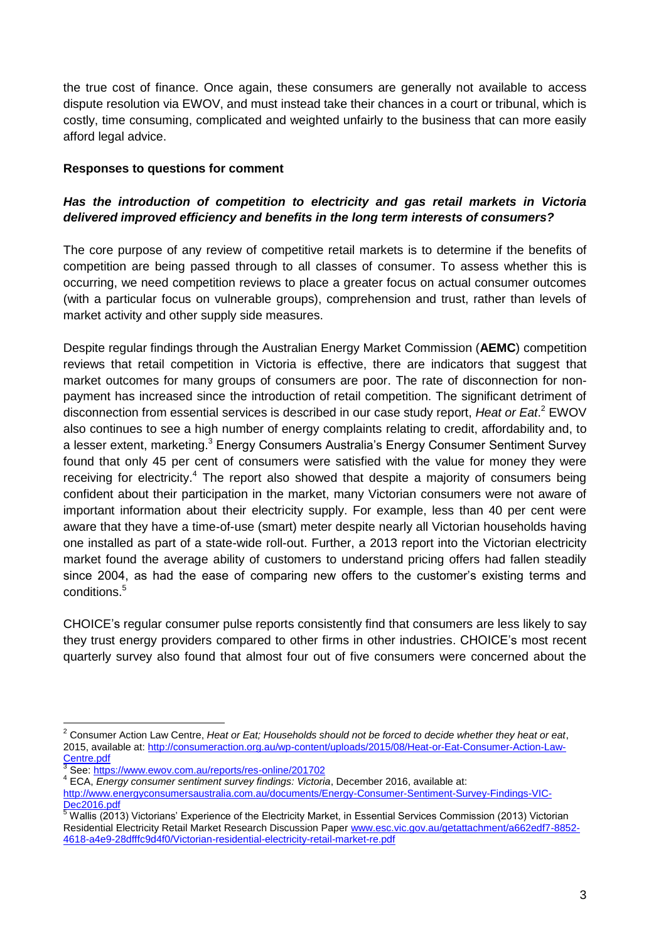the true cost of finance. Once again, these consumers are generally not available to access dispute resolution via EWOV, and must instead take their chances in a court or tribunal, which is costly, time consuming, complicated and weighted unfairly to the business that can more easily afford legal advice.

#### **Responses to questions for comment**

#### *Has the introduction of competition to electricity and gas retail markets in Victoria delivered improved efficiency and benefits in the long term interests of consumers?*

The core purpose of any review of competitive retail markets is to determine if the benefits of competition are being passed through to all classes of consumer. To assess whether this is occurring, we need competition reviews to place a greater focus on actual consumer outcomes (with a particular focus on vulnerable groups), comprehension and trust, rather than levels of market activity and other supply side measures.

Despite regular findings through the Australian Energy Market Commission (**AEMC**) competition reviews that retail competition in Victoria is effective, there are indicators that suggest that market outcomes for many groups of consumers are poor. The rate of disconnection for nonpayment has increased since the introduction of retail competition. The significant detriment of disconnection from essential services is described in our case study report, *Heat or Eat*. <sup>2</sup> EWOV also continues to see a high number of energy complaints relating to credit, affordability and, to a lesser extent, marketing.<sup>3</sup> Energy Consumers Australia's Energy Consumer Sentiment Survey found that only 45 per cent of consumers were satisfied with the value for money they were receiving for electricity.<sup>4</sup> The report also showed that despite a majority of consumers being confident about their participation in the market, many Victorian consumers were not aware of important information about their electricity supply. For example, less than 40 per cent were aware that they have a time-of-use (smart) meter despite nearly all Victorian households having one installed as part of a state-wide roll-out. Further, a 2013 report into the Victorian electricity market found the average ability of customers to understand pricing offers had fallen steadily since 2004, as had the ease of comparing new offers to the customer's existing terms and conditions.<sup>5</sup>

CHOICE's regular consumer pulse reports consistently find that consumers are less likely to say they trust energy providers compared to other firms in other industries. CHOICE's most recent quarterly survey also found that almost four out of five consumers were concerned about the

<sup>2</sup> Consumer Action Law Centre, *Heat or Eat; Households should not be forced to decide whether they heat or eat*, 2015, available at: [http://consumeraction.org.au/wp-content/uploads/2015/08/Heat-or-Eat-Consumer-Action-Law-](http://consumeraction.org.au/wp-content/uploads/2015/08/Heat-or-Eat-Consumer-Action-Law-Centre.pdf)

[Centre.pdf](http://consumeraction.org.au/wp-content/uploads/2015/08/Heat-or-Eat-Consumer-Action-Law-Centre.pdf) 3 See[: https://www.ewov.com.au/reports/res-online/201702](https://www.ewov.com.au/reports/res-online/201702)

<sup>4</sup> ECA, *Energy consumer sentiment survey findings: Victoria*, December 2016, available at: [http://www.energyconsumersaustralia.com.au/documents/Energy-Consumer-Sentiment-Survey-Findings-VIC-](http://www.energyconsumersaustralia.com.au/documents/Energy-Consumer-Sentiment-Survey-Findings-VIC-Dec2016.pdf)

Dec<sub>2016.pdf</sub>  $5$  Wallis (2013) Victorians' Experience of the Electricity Market, in Essential Services Commission (2013) Victorian Residential Electricity Retail Market Research Discussion Paper [www.esc.vic.gov.au/getattachment/a662edf7-8852-](http://www.esc.vic.gov.au/getattachment/a662edf7-8852-4618-a4e9-28dfffc9d4f0/Victorian-residential-electricity-retail-market-re.pdf) [4618-a4e9-28dfffc9d4f0/Victorian-residential-electricity-retail-market-re.pdf](http://www.esc.vic.gov.au/getattachment/a662edf7-8852-4618-a4e9-28dfffc9d4f0/Victorian-residential-electricity-retail-market-re.pdf)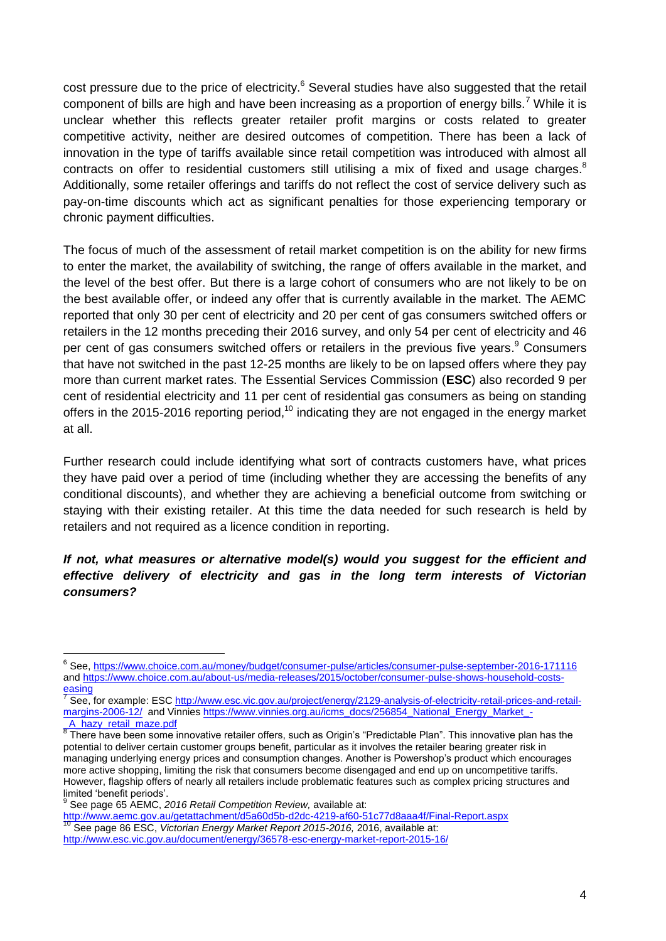cost pressure due to the price of electricity.<sup>6</sup> Several studies have also suggested that the retail component of bills are high and have been increasing as a proportion of energy bills.<sup>7</sup> While it is unclear whether this reflects greater retailer profit margins or costs related to greater competitive activity, neither are desired outcomes of competition. There has been a lack of innovation in the type of tariffs available since retail competition was introduced with almost all contracts on offer to residential customers still utilising a mix of fixed and usage charges.<sup>8</sup> Additionally, some retailer offerings and tariffs do not reflect the cost of service delivery such as pay-on-time discounts which act as significant penalties for those experiencing temporary or chronic payment difficulties.

The focus of much of the assessment of retail market competition is on the ability for new firms to enter the market, the availability of switching, the range of offers available in the market, and the level of the best offer. But there is a large cohort of consumers who are not likely to be on the best available offer, or indeed any offer that is currently available in the market. The AEMC reported that only 30 per cent of electricity and 20 per cent of gas consumers switched offers or retailers in the 12 months preceding their 2016 survey, and only 54 per cent of electricity and 46 per cent of gas consumers switched offers or retailers in the previous five years.<sup>9</sup> Consumers that have not switched in the past 12-25 months are likely to be on lapsed offers where they pay more than current market rates. The Essential Services Commission (**ESC**) also recorded 9 per cent of residential electricity and 11 per cent of residential gas consumers as being on standing offers in the 2015-2016 reporting period,<sup>10</sup> indicating they are not engaged in the energy market at all.

Further research could include identifying what sort of contracts customers have, what prices they have paid over a period of time (including whether they are accessing the benefits of any conditional discounts), and whether they are achieving a beneficial outcome from switching or staying with their existing retailer. At this time the data needed for such research is held by retailers and not required as a licence condition in reporting.

*If not, what measures or alternative model(s) would you suggest for the efficient and effective delivery of electricity and gas in the long term interests of Victorian consumers?*

<sup>&</sup>lt;sup>6</sup> See, <https://www.choice.com.au/money/budget/consumer-pulse/articles/consumer-pulse-september-2016-171116> and [https://www.choice.com.au/about-us/media-releases/2015/october/consumer-pulse-shows-household-costs](https://www.choice.com.au/about-us/media-releases/2015/october/consumer-pulse-shows-household-costs-easing)[easing](https://www.choice.com.au/about-us/media-releases/2015/october/consumer-pulse-shows-household-costs-easing)

<sup>7</sup> See, for example: ES[C http://www.esc.vic.gov.au/project/energy/2129-analysis-of-electricity-retail-prices-and-retail](http://www.esc.vic.gov.au/project/energy/2129-analysis-of-electricity-retail-prices-and-retail-margins-2006-12/)[margins-2006-12/](http://www.esc.vic.gov.au/project/energy/2129-analysis-of-electricity-retail-prices-and-retail-margins-2006-12/) and Vinnies [https://www.vinnies.org.au/icms\\_docs/256854\\_National\\_Energy\\_Market\\_-](https://www.vinnies.org.au/icms_docs/256854_National_Energy_Market_-_A_hazy_retail_maze.pdf) [\\_A\\_hazy\\_retail\\_maze.pdf](https://www.vinnies.org.au/icms_docs/256854_National_Energy_Market_-_A_hazy_retail_maze.pdf)

<sup>&</sup>lt;sup>8</sup> There have been some innovative retailer offers, such as Origin's "Predictable Plan". This innovative plan has the potential to deliver certain customer groups benefit, particular as it involves the retailer bearing greater risk in managing underlying energy prices and consumption changes. Another is Powershop's product which encourages more active shopping, limiting the risk that consumers become disengaged and end up on uncompetitive tariffs. However, flagship offers of nearly all retailers include problematic features such as complex pricing structures and limited 'benefit periods'. 9

See page 65 AEMC, *2016 Retail Competition Review,* available at: <http://www.aemc.gov.au/getattachment/d5a60d5b-d2dc-4219-af60-51c77d8aaa4f/Final-Report.aspx>

<sup>10</sup> See page 86 ESC, *Victorian Energy Market Report 2015-2016, 2*016, available at: <http://www.esc.vic.gov.au/document/energy/36578-esc-energy-market-report-2015-16/>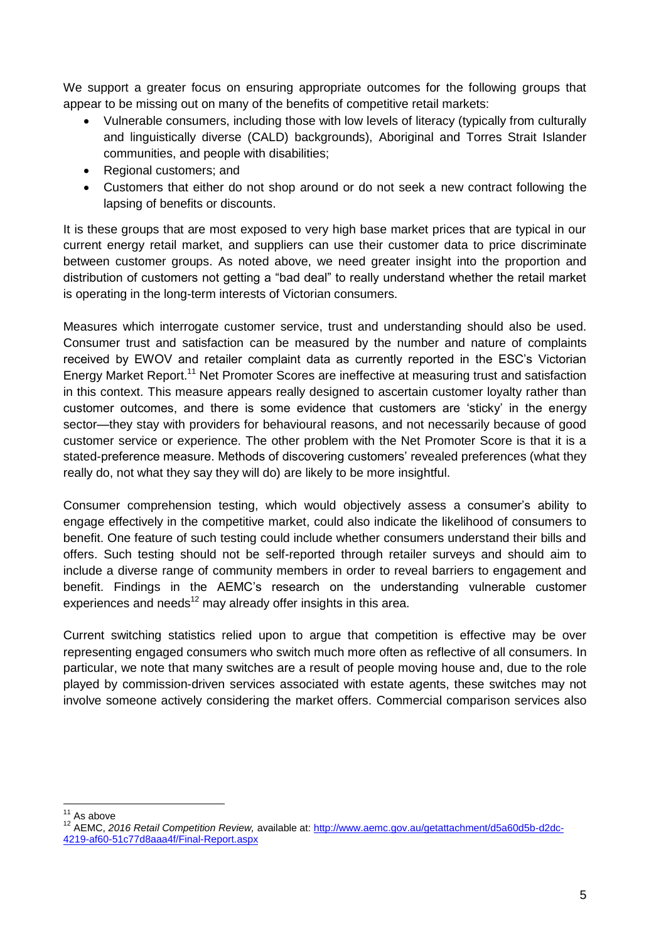We support a greater focus on ensuring appropriate outcomes for the following groups that appear to be missing out on many of the benefits of competitive retail markets:

- Vulnerable consumers, including those with low levels of literacy (typically from culturally and linguistically diverse (CALD) backgrounds), Aboriginal and Torres Strait Islander communities, and people with disabilities;
- Regional customers; and
- Customers that either do not shop around or do not seek a new contract following the lapsing of benefits or discounts.

It is these groups that are most exposed to very high base market prices that are typical in our current energy retail market, and suppliers can use their customer data to price discriminate between customer groups. As noted above, we need greater insight into the proportion and distribution of customers not getting a "bad deal" to really understand whether the retail market is operating in the long-term interests of Victorian consumers.

Measures which interrogate customer service, trust and understanding should also be used. Consumer trust and satisfaction can be measured by the number and nature of complaints received by EWOV and retailer complaint data as currently reported in the ESC's Victorian Energy Market Report.<sup>11</sup> Net Promoter Scores are ineffective at measuring trust and satisfaction in this context. This measure appears really designed to ascertain customer loyalty rather than customer outcomes, and there is some evidence that customers are 'sticky' in the energy sector—they stay with providers for behavioural reasons, and not necessarily because of good customer service or experience. The other problem with the Net Promoter Score is that it is a stated-preference measure. Methods of discovering customers' revealed preferences (what they really do, not what they say they will do) are likely to be more insightful.

Consumer comprehension testing, which would objectively assess a consumer's ability to engage effectively in the competitive market, could also indicate the likelihood of consumers to benefit. One feature of such testing could include whether consumers understand their bills and offers. Such testing should not be self-reported through retailer surveys and should aim to include a diverse range of community members in order to reveal barriers to engagement and benefit. Findings in the AEMC's research on the understanding vulnerable customer experiences and needs $12$  may already offer insights in this area.

Current switching statistics relied upon to argue that competition is effective may be over representing engaged consumers who switch much more often as reflective of all consumers. In particular, we note that many switches are a result of people moving house and, due to the role played by commission-driven services associated with estate agents, these switches may not involve someone actively considering the market offers. Commercial comparison services also

<sup>1</sup>  $11$  As above

<sup>12</sup> AEMC, *2016 Retail Competition Review,* available at[: http://www.aemc.gov.au/getattachment/d5a60d5b-d2dc-](http://www.aemc.gov.au/getattachment/d5a60d5b-d2dc-4219-af60-51c77d8aaa4f/Final-Report.aspx)[4219-af60-51c77d8aaa4f/Final-Report.aspx](http://www.aemc.gov.au/getattachment/d5a60d5b-d2dc-4219-af60-51c77d8aaa4f/Final-Report.aspx)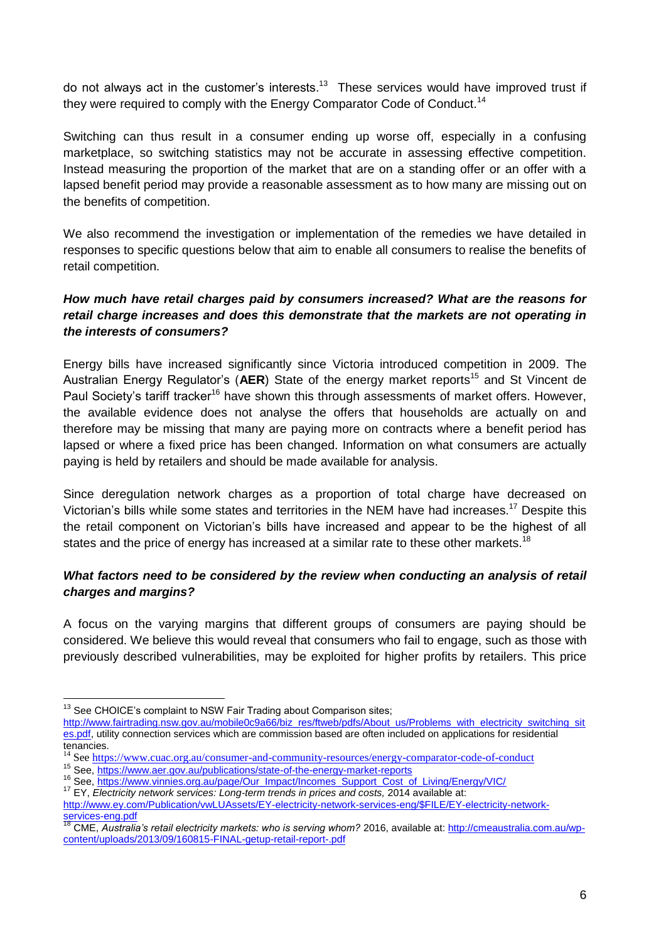do not always act in the customer's interests.<sup>13</sup> These services would have improved trust if they were required to comply with the Energy Comparator Code of Conduct.<sup>14</sup>

Switching can thus result in a consumer ending up worse off, especially in a confusing marketplace, so switching statistics may not be accurate in assessing effective competition. Instead measuring the proportion of the market that are on a standing offer or an offer with a lapsed benefit period may provide a reasonable assessment as to how many are missing out on the benefits of competition.

We also recommend the investigation or implementation of the remedies we have detailed in responses to specific questions below that aim to enable all consumers to realise the benefits of retail competition.

# *How much have retail charges paid by consumers increased? What are the reasons for retail charge increases and does this demonstrate that the markets are not operating in the interests of consumers?*

Energy bills have increased significantly since Victoria introduced competition in 2009. The Australian Energy Regulator's (AER) State of the energy market reports<sup>15</sup> and St Vincent de Paul Society's tariff tracker<sup>16</sup> have shown this through assessments of market offers. However, the available evidence does not analyse the offers that households are actually on and therefore may be missing that many are paying more on contracts where a benefit period has lapsed or where a fixed price has been changed. Information on what consumers are actually paying is held by retailers and should be made available for analysis.

Since deregulation network charges as a proportion of total charge have decreased on Victorian's bills while some states and territories in the NEM have had increases.<sup>17</sup> Despite this the retail component on Victorian's bills have increased and appear to be the highest of all states and the price of energy has increased at a similar rate to these other markets.<sup>18</sup>

## *What factors need to be considered by the review when conducting an analysis of retail charges and margins?*

A focus on the varying margins that different groups of consumers are paying should be considered. We believe this would reveal that consumers who fail to engage, such as those with previously described vulnerabilities, may be exploited for higher profits by retailers. This price

<u>.</u>

<sup>&</sup>lt;sup>13</sup> See CHOICE's complaint to NSW Fair Trading about Comparison sites;

[http://www.fairtrading.nsw.gov.au/mobile0c9a66/biz\\_res/ftweb/pdfs/About\\_us/Problems\\_with\\_electricity\\_switching\\_sit](http://www.fairtrading.nsw.gov.au/mobile0c9a66/biz_res/ftweb/pdfs/About_us/Problems_with_electricity_switching_sites.pdf) [es.pdf,](http://www.fairtrading.nsw.gov.au/mobile0c9a66/biz_res/ftweb/pdfs/About_us/Problems_with_electricity_switching_sites.pdf) utility connection services which are commission based are often included on applications for residential tenancies.

<sup>&</sup>lt;sup>14</sup> Se[e https://www.cuac.org.au/consumer-and-community-resources/energy-comparator-code-of-conduct](https://www.cuac.org.au/consumer-and-community-resources/energy-comparator-code-of-conduct)

<sup>15</sup> See,<https://www.aer.gov.au/publications/state-of-the-energy-market-reports>

<sup>&</sup>lt;sup>16</sup> See, [https://www.vinnies.org.au/page/Our\\_Impact/Incomes\\_Support\\_Cost\\_of\\_Living/Energy/VIC/](https://www.vinnies.org.au/page/Our_Impact/Incomes_Support_Cost_of_Living/Energy/VIC/)

<sup>&</sup>lt;sup>17</sup> EY, *Electricity network services: Long-term trends in prices and costs, 2014 available at:* 

[http://www.ey.com/Publication/vwLUAssets/EY-electricity-network-services-eng/\\$FILE/EY-electricity-network](http://www.ey.com/Publication/vwLUAssets/EY-electricity-network-services-eng/$FILE/EY-electricity-network-services-eng.pdf)[services-eng.pdf](http://www.ey.com/Publication/vwLUAssets/EY-electricity-network-services-eng/$FILE/EY-electricity-network-services-eng.pdf)

<sup>18</sup> CME, *Australia's retail electricity markets: who is serving whom?* 2016, available at[: http://cmeaustralia.com.au/wp](http://cmeaustralia.com.au/wp-content/uploads/2013/09/160815-FINAL-getup-retail-report-.pdf)[content/uploads/2013/09/160815-FINAL-getup-retail-report-.pdf](http://cmeaustralia.com.au/wp-content/uploads/2013/09/160815-FINAL-getup-retail-report-.pdf)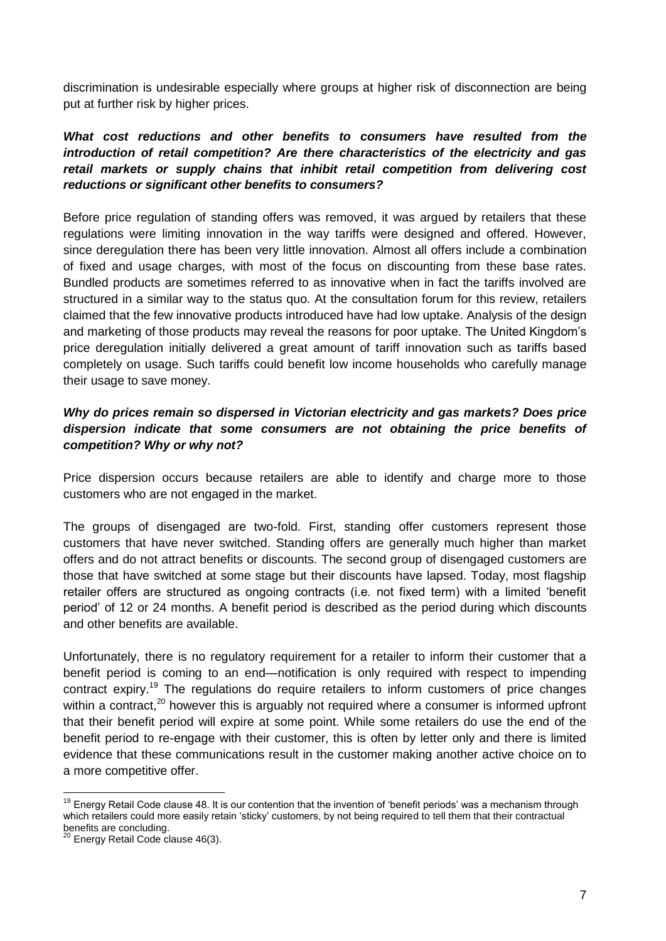discrimination is undesirable especially where groups at higher risk of disconnection are being put at further risk by higher prices.

# *What cost reductions and other benefits to consumers have resulted from the introduction of retail competition? Are there characteristics of the electricity and gas retail markets or supply chains that inhibit retail competition from delivering cost reductions or significant other benefits to consumers?*

Before price regulation of standing offers was removed, it was argued by retailers that these regulations were limiting innovation in the way tariffs were designed and offered. However, since deregulation there has been very little innovation. Almost all offers include a combination of fixed and usage charges, with most of the focus on discounting from these base rates. Bundled products are sometimes referred to as innovative when in fact the tariffs involved are structured in a similar way to the status quo. At the consultation forum for this review, retailers claimed that the few innovative products introduced have had low uptake. Analysis of the design and marketing of those products may reveal the reasons for poor uptake. The United Kingdom's price deregulation initially delivered a great amount of tariff innovation such as tariffs based completely on usage. Such tariffs could benefit low income households who carefully manage their usage to save money.

## *Why do prices remain so dispersed in Victorian electricity and gas markets? Does price dispersion indicate that some consumers are not obtaining the price benefits of competition? Why or why not?*

Price dispersion occurs because retailers are able to identify and charge more to those customers who are not engaged in the market.

The groups of disengaged are two-fold. First, standing offer customers represent those customers that have never switched. Standing offers are generally much higher than market offers and do not attract benefits or discounts. The second group of disengaged customers are those that have switched at some stage but their discounts have lapsed. Today, most flagship retailer offers are structured as ongoing contracts (i.e. not fixed term) with a limited 'benefit period' of 12 or 24 months. A benefit period is described as the period during which discounts and other benefits are available.

Unfortunately, there is no regulatory requirement for a retailer to inform their customer that a benefit period is coming to an end—notification is only required with respect to impending contract expiry.<sup>19</sup> The regulations do require retailers to inform customers of price changes within a contract,<sup>20</sup> however this is arguably not required where a consumer is informed upfront that their benefit period will expire at some point. While some retailers do use the end of the benefit period to re-engage with their customer, this is often by letter only and there is limited evidence that these communications result in the customer making another active choice on to a more competitive offer.

<u>.</u>

<sup>&</sup>lt;sup>19</sup> Energy Retail Code clause 48. It is our contention that the invention of 'benefit periods' was a mechanism through which retailers could more easily retain 'sticky' customers, by not being required to tell them that their contractual benefits are concluding.

<sup>&</sup>lt;sup>20</sup> Energy Retail Code clause 46(3).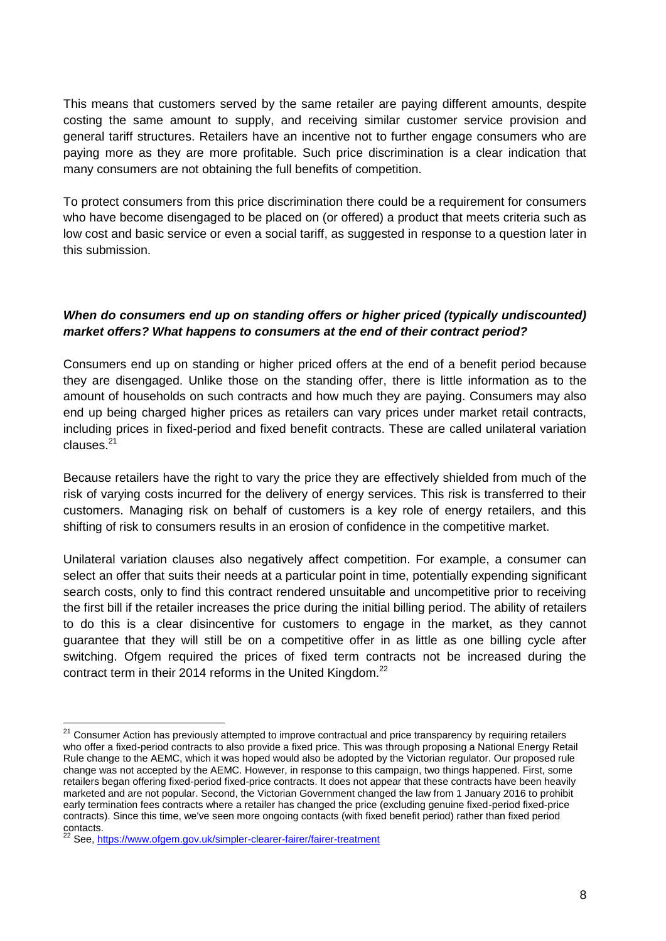This means that customers served by the same retailer are paying different amounts, despite costing the same amount to supply, and receiving similar customer service provision and general tariff structures. Retailers have an incentive not to further engage consumers who are paying more as they are more profitable. Such price discrimination is a clear indication that many consumers are not obtaining the full benefits of competition.

To protect consumers from this price discrimination there could be a requirement for consumers who have become disengaged to be placed on (or offered) a product that meets criteria such as low cost and basic service or even a social tariff, as suggested in response to a question later in this submission.

## *When do consumers end up on standing offers or higher priced (typically undiscounted) market offers? What happens to consumers at the end of their contract period?*

Consumers end up on standing or higher priced offers at the end of a benefit period because they are disengaged. Unlike those on the standing offer, there is little information as to the amount of households on such contracts and how much they are paying. Consumers may also end up being charged higher prices as retailers can vary prices under market retail contracts, including prices in fixed-period and fixed benefit contracts. These are called unilateral variation clauses.<sup>21</sup>

Because retailers have the right to vary the price they are effectively shielded from much of the risk of varying costs incurred for the delivery of energy services. This risk is transferred to their customers. Managing risk on behalf of customers is a key role of energy retailers, and this shifting of risk to consumers results in an erosion of confidence in the competitive market.

Unilateral variation clauses also negatively affect competition. For example, a consumer can select an offer that suits their needs at a particular point in time, potentially expending significant search costs, only to find this contract rendered unsuitable and uncompetitive prior to receiving the first bill if the retailer increases the price during the initial billing period. The ability of retailers to do this is a clear disincentive for customers to engage in the market, as they cannot guarantee that they will still be on a competitive offer in as little as one billing cycle after switching. Ofgem required the prices of fixed term contracts not be increased during the contract term in their 2014 reforms in the United Kingdom.<sup>22</sup>

<sup>&</sup>lt;sup>21</sup> Consumer Action has previously attempted to improve contractual and price transparency by requiring retailers who offer a fixed-period contracts to also provide a fixed price. This was through proposing a National Energy Retail Rule change to the AEMC, which it was hoped would also be adopted by the Victorian regulator. Our proposed rule change was not accepted by the AEMC. However, in response to this campaign, two things happened. First, some retailers began offering fixed-period fixed-price contracts. It does not appear that these contracts have been heavily marketed and are not popular. Second, the Victorian Government changed the law from 1 January 2016 to prohibit early termination fees contracts where a retailer has changed the price (excluding genuine fixed-period fixed-price contracts). Since this time, we've seen more ongoing contacts (with fixed benefit period) rather than fixed period contacts.

<sup>&</sup>lt;sup>22</sup> See,<https://www.ofgem.gov.uk/simpler-clearer-fairer/fairer-treatment>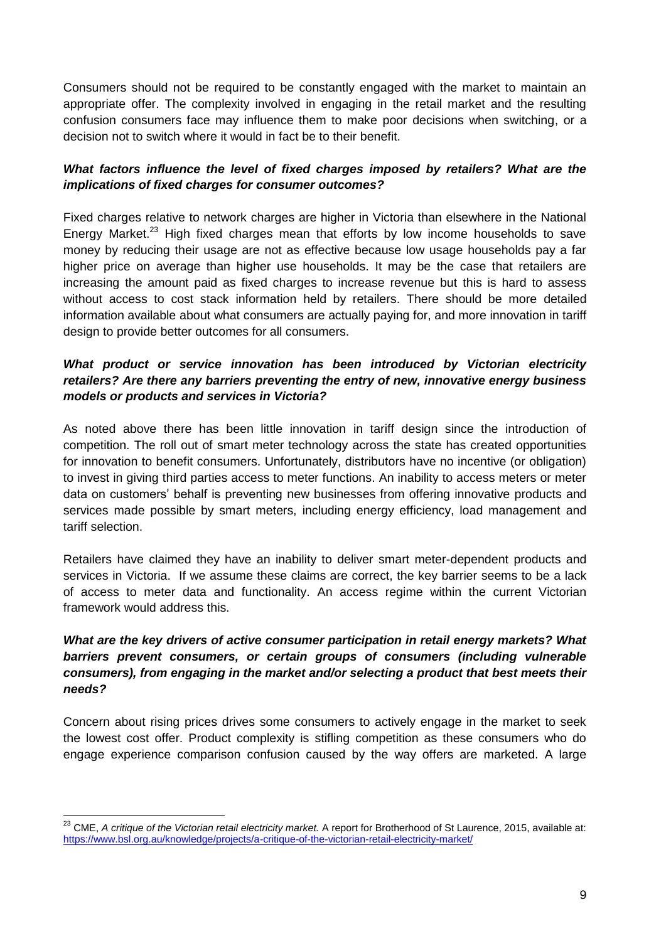Consumers should not be required to be constantly engaged with the market to maintain an appropriate offer. The complexity involved in engaging in the retail market and the resulting confusion consumers face may influence them to make poor decisions when switching, or a decision not to switch where it would in fact be to their benefit.

# *What factors influence the level of fixed charges imposed by retailers? What are the implications of fixed charges for consumer outcomes?*

Fixed charges relative to network charges are higher in Victoria than elsewhere in the National Energy Market.<sup>23</sup> High fixed charges mean that efforts by low income households to save money by reducing their usage are not as effective because low usage households pay a far higher price on average than higher use households. It may be the case that retailers are increasing the amount paid as fixed charges to increase revenue but this is hard to assess without access to cost stack information held by retailers. There should be more detailed information available about what consumers are actually paying for, and more innovation in tariff design to provide better outcomes for all consumers.

## *What product or service innovation has been introduced by Victorian electricity retailers? Are there any barriers preventing the entry of new, innovative energy business models or products and services in Victoria?*

As noted above there has been little innovation in tariff design since the introduction of competition. The roll out of smart meter technology across the state has created opportunities for innovation to benefit consumers. Unfortunately, distributors have no incentive (or obligation) to invest in giving third parties access to meter functions. An inability to access meters or meter data on customers' behalf is preventing new businesses from offering innovative products and services made possible by smart meters, including energy efficiency, load management and tariff selection.

Retailers have claimed they have an inability to deliver smart meter-dependent products and services in Victoria. If we assume these claims are correct, the key barrier seems to be a lack of access to meter data and functionality. An access regime within the current Victorian framework would address this.

# *What are the key drivers of active consumer participation in retail energy markets? What barriers prevent consumers, or certain groups of consumers (including vulnerable consumers), from engaging in the market and/or selecting a product that best meets their needs?*

Concern about rising prices drives some consumers to actively engage in the market to seek the lowest cost offer. Product complexity is stifling competition as these consumers who do engage experience comparison confusion caused by the way offers are marketed. A large

<u>.</u>

<sup>23</sup> CME, *A critique of the Victorian retail electricity market.* A report for Brotherhood of St Laurence, 2015, available at: <https://www.bsl.org.au/knowledge/projects/a-critique-of-the-victorian-retail-electricity-market/>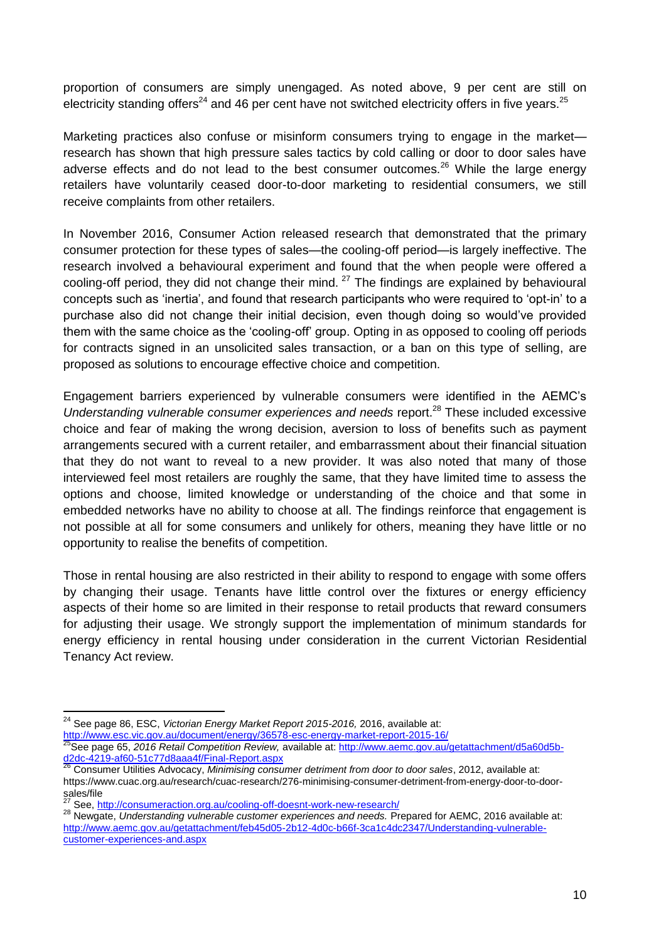proportion of consumers are simply unengaged. As noted above, 9 per cent are still on electricity standing offers<sup>24</sup> and 46 per cent have not switched electricity offers in five years.<sup>25</sup>

Marketing practices also confuse or misinform consumers trying to engage in the market research has shown that high pressure sales tactics by cold calling or door to door sales have adverse effects and do not lead to the best consumer outcomes.<sup>26</sup> While the large energy retailers have voluntarily ceased door-to-door marketing to residential consumers, we still receive complaints from other retailers.

In November 2016, Consumer Action released research that demonstrated that the primary consumer protection for these types of sales—the cooling-off period—is largely ineffective. The research involved a behavioural experiment and found that the when people were offered a cooling-off period, they did not change their mind. <sup>27</sup> The findings are explained by behavioural concepts such as 'inertia', and found that research participants who were required to 'opt-in' to a purchase also did not change their initial decision, even though doing so would've provided them with the same choice as the 'cooling-off' group. Opting in as opposed to cooling off periods for contracts signed in an unsolicited sales transaction, or a ban on this type of selling, are proposed as solutions to encourage effective choice and competition.

Engagement barriers experienced by vulnerable consumers were identified in the AEMC's *Understanding vulnerable consumer experiences and needs report.*<sup>28</sup> These included excessive choice and fear of making the wrong decision, aversion to loss of benefits such as payment arrangements secured with a current retailer, and embarrassment about their financial situation that they do not want to reveal to a new provider. It was also noted that many of those interviewed feel most retailers are roughly the same, that they have limited time to assess the options and choose, limited knowledge or understanding of the choice and that some in embedded networks have no ability to choose at all. The findings reinforce that engagement is not possible at all for some consumers and unlikely for others, meaning they have little or no opportunity to realise the benefits of competition.

Those in rental housing are also restricted in their ability to respond to engage with some offers by changing their usage. Tenants have little control over the fixtures or energy efficiency aspects of their home so are limited in their response to retail products that reward consumers for adjusting their usage. We strongly support the implementation of minimum standards for energy efficiency in rental housing under consideration in the current Victorian Residential Tenancy Act review.

<sup>24</sup> See page 86, ESC, *Victorian Energy Market Report 2015-2016,* 2016, available at: <http://www.esc.vic.gov.au/document/energy/36578-esc-energy-market-report-2015-16/>

<sup>25</sup>See page 65, *2016 Retail Competition Review,* available at: [http://www.aemc.gov.au/getattachment/d5a60d5b](http://www.aemc.gov.au/getattachment/d5a60d5b-d2dc-4219-af60-51c77d8aaa4f/Final-Report.aspx)[d2dc-4219-af60-51c77d8aaa4f/Final-Report.aspx](http://www.aemc.gov.au/getattachment/d5a60d5b-d2dc-4219-af60-51c77d8aaa4f/Final-Report.aspx)

<sup>26</sup> Consumer Utilities Advocacy, *Minimising consumer detriment from door to door sales*, 2012, available at: https://www.cuac.org.au/research/cuac-research/276-minimising-consumer-detriment-from-energy-door-to-doorsales/file

See,<http://consumeraction.org.au/cooling-off-doesnt-work-new-research/>

<sup>28</sup> Newgate, *Understanding vulnerable customer experiences and needs.* Prepared for AEMC, 2016 available at: [http://www.aemc.gov.au/getattachment/feb45d05-2b12-4d0c-b66f-3ca1c4dc2347/Understanding-vulnerable](http://www.aemc.gov.au/getattachment/feb45d05-2b12-4d0c-b66f-3ca1c4dc2347/Understanding-vulnerable-customer-experiences-and.aspx)[customer-experiences-and.aspx](http://www.aemc.gov.au/getattachment/feb45d05-2b12-4d0c-b66f-3ca1c4dc2347/Understanding-vulnerable-customer-experiences-and.aspx)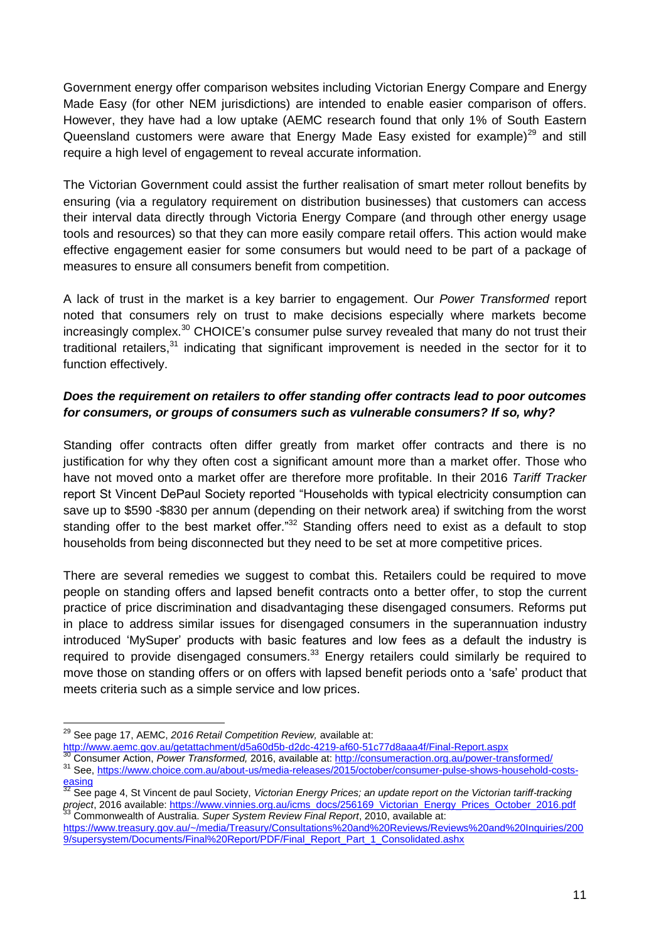Government energy offer comparison websites including Victorian Energy Compare and Energy Made Easy (for other NEM jurisdictions) are intended to enable easier comparison of offers. However, they have had a low uptake (AEMC research found that only 1% of South Eastern Queensland customers were aware that Energy Made Easy existed for example)<sup>29</sup> and still require a high level of engagement to reveal accurate information.

The Victorian Government could assist the further realisation of smart meter rollout benefits by ensuring (via a regulatory requirement on distribution businesses) that customers can access their interval data directly through Victoria Energy Compare (and through other energy usage tools and resources) so that they can more easily compare retail offers. This action would make effective engagement easier for some consumers but would need to be part of a package of measures to ensure all consumers benefit from competition.

A lack of trust in the market is a key barrier to engagement. Our *Power Transformed* report noted that consumers rely on trust to make decisions especially where markets become increasingly complex.<sup>30</sup> CHOICE's consumer pulse survey revealed that many do not trust their traditional retailers,<sup>31</sup> indicating that significant improvement is needed in the sector for it to function effectively.

# *Does the requirement on retailers to offer standing offer contracts lead to poor outcomes for consumers, or groups of consumers such as vulnerable consumers? If so, why?*

Standing offer contracts often differ greatly from market offer contracts and there is no justification for why they often cost a significant amount more than a market offer. Those who have not moved onto a market offer are therefore more profitable. In their 2016 *Tariff Tracker* report St Vincent DePaul Society reported "Households with typical electricity consumption can save up to \$590 -\$830 per annum (depending on their network area) if switching from the worst standing offer to the best market offer."<sup>32</sup> Standing offers need to exist as a default to stop households from being disconnected but they need to be set at more competitive prices.

There are several remedies we suggest to combat this. Retailers could be required to move people on standing offers and lapsed benefit contracts onto a better offer, to stop the current practice of price discrimination and disadvantaging these disengaged consumers. Reforms put in place to address similar issues for disengaged consumers in the superannuation industry introduced 'MySuper' products with basic features and low fees as a default the industry is required to provide disengaged consumers. $33$  Energy retailers could similarly be required to move those on standing offers or on offers with lapsed benefit periods onto a 'safe' product that meets criteria such as a simple service and low prices.

<sup>29</sup> See page 17, AEMC, *2016 Retail Competition Review,* available at:

<http://www.aemc.gov.au/getattachment/d5a60d5b-d2dc-4219-af60-51c77d8aaa4f/Final-Report.aspx>

<sup>30</sup> Consumer Action, *Power Transformed,* 2016, available at[: http://consumeraction.org.au/power-transformed/](http://consumeraction.org.au/power-transformed/) <sup>31</sup> See, [https://www.choice.com.au/about-us/media-releases/2015/october/consumer-pulse-shows-household-costs-](https://www.choice.com.au/about-us/media-releases/2015/october/consumer-pulse-shows-household-costs-easing)

[easing](https://www.choice.com.au/about-us/media-releases/2015/october/consumer-pulse-shows-household-costs-easing)

<sup>32</sup> See page 4, St Vincent de paul Society, *Victorian Energy Prices; an update report on the Victorian tariff-tracking project*, 2016 available: [https://www.vinnies.org.au/icms\\_docs/256169\\_Victorian\\_Energy\\_Prices\\_October\\_2016.pdf](https://www.vinnies.org.au/icms_docs/256169_Victorian_Energy_Prices_October_2016.pdf) <sup>33</sup> Commonwealth of Australia. *Super System Review Final Report*, 2010, available at:

[https://www.treasury.gov.au/~/media/Treasury/Consultations%20and%20Reviews/Reviews%20and%20Inquiries/200](https://www.treasury.gov.au/~/media/Treasury/Consultations%20and%20Reviews/Reviews%20and%20Inquiries/2009/supersystem/Documents/Final%20Report/PDF/Final_Report_Part_1_Consolidated.ashx) [9/supersystem/Documents/Final%20Report/PDF/Final\\_Report\\_Part\\_1\\_Consolidated.ashx](https://www.treasury.gov.au/~/media/Treasury/Consultations%20and%20Reviews/Reviews%20and%20Inquiries/2009/supersystem/Documents/Final%20Report/PDF/Final_Report_Part_1_Consolidated.ashx)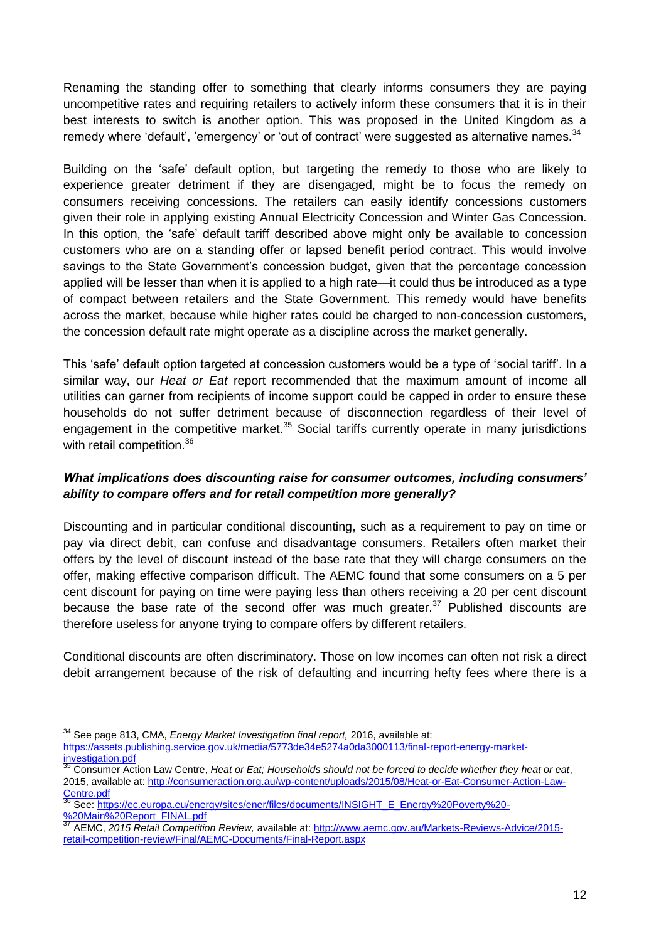Renaming the standing offer to something that clearly informs consumers they are paying uncompetitive rates and requiring retailers to actively inform these consumers that it is in their best interests to switch is another option. This was proposed in the United Kingdom as a remedy where 'default', 'emergency' or 'out of contract' were suggested as alternative names.<sup>34</sup>

Building on the 'safe' default option, but targeting the remedy to those who are likely to experience greater detriment if they are disengaged, might be to focus the remedy on consumers receiving concessions. The retailers can easily identify concessions customers given their role in applying existing Annual Electricity Concession and Winter Gas Concession. In this option, the 'safe' default tariff described above might only be available to concession customers who are on a standing offer or lapsed benefit period contract. This would involve savings to the State Government's concession budget, given that the percentage concession applied will be lesser than when it is applied to a high rate—it could thus be introduced as a type of compact between retailers and the State Government. This remedy would have benefits across the market, because while higher rates could be charged to non-concession customers, the concession default rate might operate as a discipline across the market generally.

This 'safe' default option targeted at concession customers would be a type of 'social tariff'. In a similar way, our *Heat or Eat* report recommended that the maximum amount of income all utilities can garner from recipients of income support could be capped in order to ensure these households do not suffer detriment because of disconnection regardless of their level of engagement in the competitive market. $35$  Social tariffs currently operate in many jurisdictions with retail competition.<sup>36</sup>

## *What implications does discounting raise for consumer outcomes, including consumers' ability to compare offers and for retail competition more generally?*

Discounting and in particular conditional discounting, such as a requirement to pay on time or pay via direct debit, can confuse and disadvantage consumers. Retailers often market their offers by the level of discount instead of the base rate that they will charge consumers on the offer, making effective comparison difficult. The AEMC found that some consumers on a 5 per cent discount for paying on time were paying less than others receiving a 20 per cent discount because the base rate of the second offer was much greater.<sup>37</sup> Published discounts are therefore useless for anyone trying to compare offers by different retailers.

Conditional discounts are often discriminatory. Those on low incomes can often not risk a direct debit arrangement because of the risk of defaulting and incurring hefty fees where there is a

<sup>34</sup> See page 813, CMA, *Energy Market Investigation final report,* 2016, available at:

[https://assets.publishing.service.gov.uk/media/5773de34e5274a0da3000113/final-report-energy-market](https://assets.publishing.service.gov.uk/media/5773de34e5274a0da3000113/final-report-energy-market-investigation.pdf)[investigation.pdf](https://assets.publishing.service.gov.uk/media/5773de34e5274a0da3000113/final-report-energy-market-investigation.pdf)

<sup>35</sup> Consumer Action Law Centre, *Heat or Eat; Households should not be forced to decide whether they heat or eat*, 2015, available at: [http://consumeraction.org.au/wp-content/uploads/2015/08/Heat-or-Eat-Consumer-Action-Law-](http://consumeraction.org.au/wp-content/uploads/2015/08/Heat-or-Eat-Consumer-Action-Law-Centre.pdf)[Centre.pdf](http://consumeraction.org.au/wp-content/uploads/2015/08/Heat-or-Eat-Consumer-Action-Law-Centre.pdf)

<sup>36</sup> See: [https://ec.europa.eu/energy/sites/ener/files/documents/INSIGHT\\_E\\_Energy%20Poverty%20-](https://ec.europa.eu/energy/sites/ener/files/documents/INSIGHT_E_Energy%20Poverty%20-%20Main%20Report_FINAL.pdf) [%20Main%20Report\\_FINAL.pdf](https://ec.europa.eu/energy/sites/ener/files/documents/INSIGHT_E_Energy%20Poverty%20-%20Main%20Report_FINAL.pdf)

<sup>37</sup> AEMC, *2015 Retail Competition Review,* available at[: http://www.aemc.gov.au/Markets-Reviews-Advice/2015](http://www.aemc.gov.au/Markets-Reviews-Advice/2015-retail-competition-review/Final/AEMC-Documents/Final-Report.aspx) [retail-competition-review/Final/AEMC-Documents/Final-Report.aspx](http://www.aemc.gov.au/Markets-Reviews-Advice/2015-retail-competition-review/Final/AEMC-Documents/Final-Report.aspx)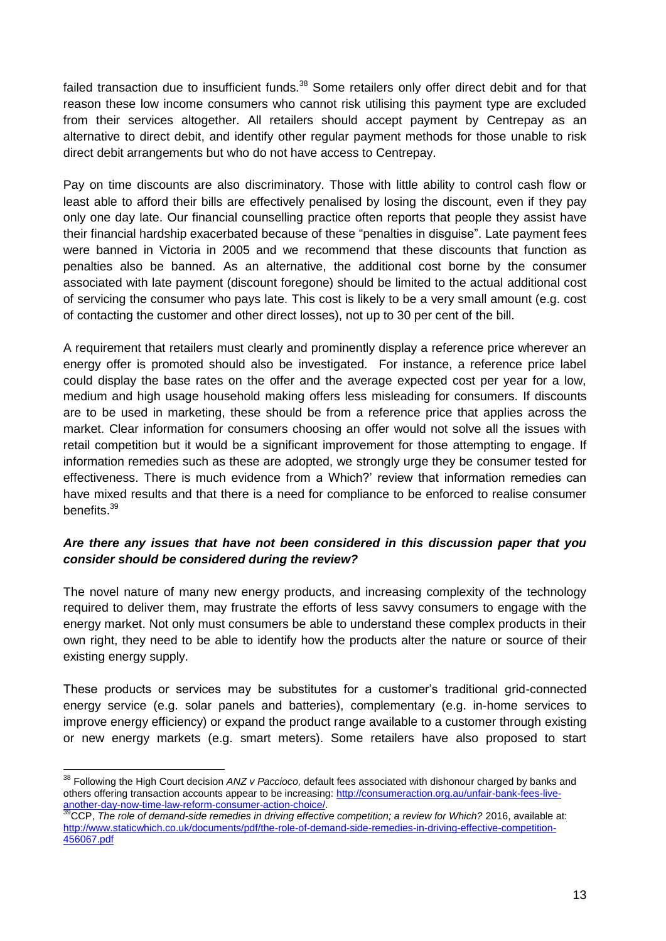failed transaction due to insufficient funds.<sup>38</sup> Some retailers only offer direct debit and for that reason these low income consumers who cannot risk utilising this payment type are excluded from their services altogether. All retailers should accept payment by Centrepay as an alternative to direct debit, and identify other regular payment methods for those unable to risk direct debit arrangements but who do not have access to Centrepay.

Pay on time discounts are also discriminatory. Those with little ability to control cash flow or least able to afford their bills are effectively penalised by losing the discount, even if they pay only one day late. Our financial counselling practice often reports that people they assist have their financial hardship exacerbated because of these "penalties in disguise". Late payment fees were banned in Victoria in 2005 and we recommend that these discounts that function as penalties also be banned. As an alternative, the additional cost borne by the consumer associated with late payment (discount foregone) should be limited to the actual additional cost of servicing the consumer who pays late. This cost is likely to be a very small amount (e.g. cost of contacting the customer and other direct losses), not up to 30 per cent of the bill.

A requirement that retailers must clearly and prominently display a reference price wherever an energy offer is promoted should also be investigated. For instance, a reference price label could display the base rates on the offer and the average expected cost per year for a low, medium and high usage household making offers less misleading for consumers. If discounts are to be used in marketing, these should be from a reference price that applies across the market. Clear information for consumers choosing an offer would not solve all the issues with retail competition but it would be a significant improvement for those attempting to engage. If information remedies such as these are adopted, we strongly urge they be consumer tested for effectiveness. There is much evidence from a Which?' review that information remedies can have mixed results and that there is a need for compliance to be enforced to realise consumer benefits.<sup>39</sup>

## *Are there any issues that have not been considered in this discussion paper that you consider should be considered during the review?*

The novel nature of many new energy products, and increasing complexity of the technology required to deliver them, may frustrate the efforts of less savvy consumers to engage with the energy market. Not only must consumers be able to understand these complex products in their own right, they need to be able to identify how the products alter the nature or source of their existing energy supply.

These products or services may be substitutes for a customer's traditional grid-connected energy service (e.g. solar panels and batteries), complementary (e.g. in-home services to improve energy efficiency) or expand the product range available to a customer through existing or new energy markets (e.g. smart meters). Some retailers have also proposed to start

<sup>38</sup> Following the High Court decision *ANZ v Paccioco,* default fees associated with dishonour charged by banks and others offering transaction accounts appear to be increasing: [http://consumeraction.org.au/unfair-bank-fees-live](http://consumeraction.org.au/unfair-bank-fees-live-another-day-now-time-law-reform-consumer-action-choice/)[another-day-now-time-law-reform-consumer-action-choice/.](http://consumeraction.org.au/unfair-bank-fees-live-another-day-now-time-law-reform-consumer-action-choice/)

<sup>&</sup>lt;sup>39</sup>CCP, *The role of demand-side remedies in driving effective competition; a review for Which? 2016, available at:* [http://www.staticwhich.co.uk/documents/pdf/the-role-of-demand-side-remedies-in-driving-effective-competition-](http://www.staticwhich.co.uk/documents/pdf/the-role-of-demand-side-remedies-in-driving-effective-competition-456067.pdf)[456067.pdf](http://www.staticwhich.co.uk/documents/pdf/the-role-of-demand-side-remedies-in-driving-effective-competition-456067.pdf)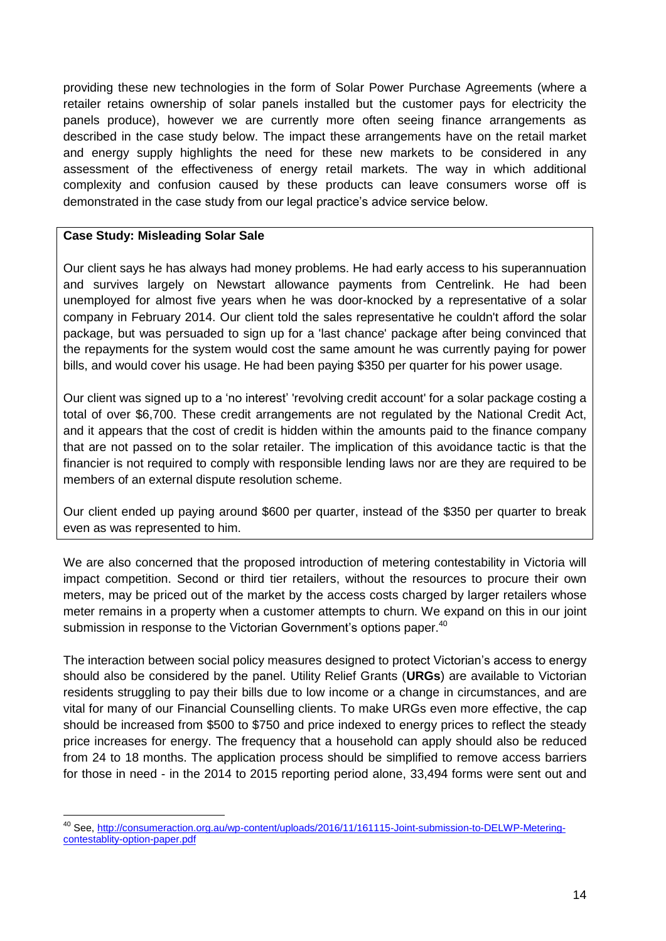providing these new technologies in the form of Solar Power Purchase Agreements (where a retailer retains ownership of solar panels installed but the customer pays for electricity the panels produce), however we are currently more often seeing finance arrangements as described in the case study below. The impact these arrangements have on the retail market and energy supply highlights the need for these new markets to be considered in any assessment of the effectiveness of energy retail markets. The way in which additional complexity and confusion caused by these products can leave consumers worse off is demonstrated in the case study from our legal practice's advice service below.

#### **Case Study: Misleading Solar Sale**

<u>.</u>

Our client says he has always had money problems. He had early access to his superannuation and survives largely on Newstart allowance payments from Centrelink. He had been unemployed for almost five years when he was door-knocked by a representative of a solar company in February 2014. Our client told the sales representative he couldn't afford the solar package, but was persuaded to sign up for a 'last chance' package after being convinced that the repayments for the system would cost the same amount he was currently paying for power bills, and would cover his usage. He had been paying \$350 per quarter for his power usage.

Our client was signed up to a 'no interest' 'revolving credit account' for a solar package costing a total of over \$6,700. These credit arrangements are not regulated by the National Credit Act, and it appears that the cost of credit is hidden within the amounts paid to the finance company that are not passed on to the solar retailer. The implication of this avoidance tactic is that the financier is not required to comply with responsible lending laws nor are they are required to be members of an external dispute resolution scheme.

Our client ended up paying around \$600 per quarter, instead of the \$350 per quarter to break even as was represented to him.

We are also concerned that the proposed introduction of metering contestability in Victoria will impact competition. Second or third tier retailers, without the resources to procure their own meters, may be priced out of the market by the access costs charged by larger retailers whose meter remains in a property when a customer attempts to churn. We expand on this in our joint submission in response to the Victorian Government's options paper.<sup>40</sup>

The interaction between social policy measures designed to protect Victorian's access to energy should also be considered by the panel. Utility Relief Grants (**URGs**) are available to Victorian residents struggling to pay their bills due to low income or a change in circumstances, and are vital for many of our Financial Counselling clients. To make URGs even more effective, the cap should be increased from \$500 to \$750 and price indexed to energy prices to reflect the steady price increases for energy. The frequency that a household can apply should also be reduced from 24 to 18 months. The application process should be simplified to remove access barriers for those in need - in the 2014 to 2015 reporting period alone, 33,494 forms were sent out and

<sup>40</sup> See, [http://consumeraction.org.au/wp-content/uploads/2016/11/161115-Joint-submission-to-DELWP-Metering](http://consumeraction.org.au/wp-content/uploads/2016/11/161115-Joint-submission-to-DELWP-Metering-contestablity-option-paper.pdf)[contestablity-option-paper.pdf](http://consumeraction.org.au/wp-content/uploads/2016/11/161115-Joint-submission-to-DELWP-Metering-contestablity-option-paper.pdf)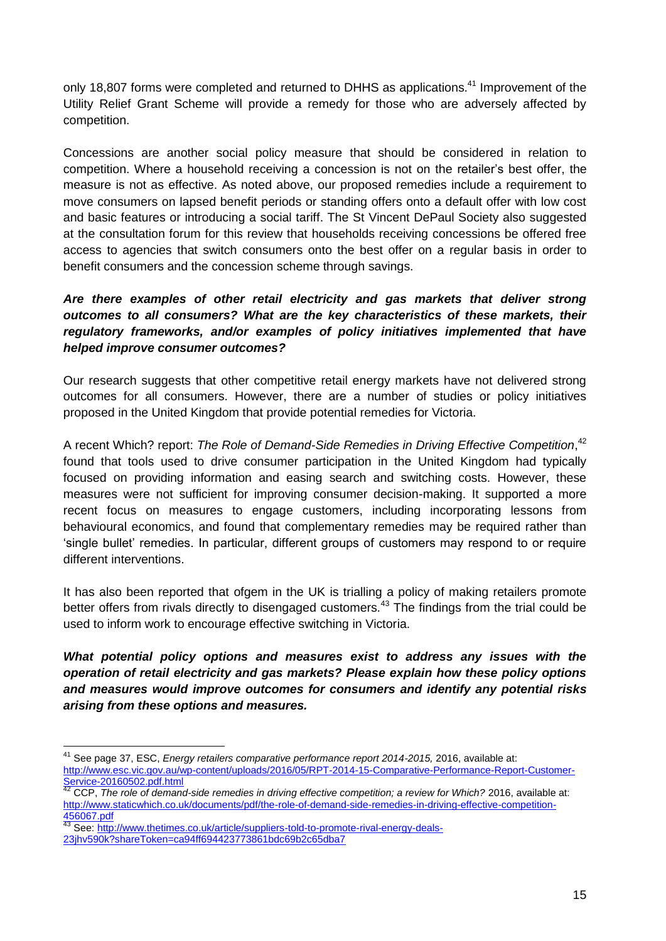only 18,807 forms were completed and returned to DHHS as applications.<sup>41</sup> Improvement of the Utility Relief Grant Scheme will provide a remedy for those who are adversely affected by competition.

Concessions are another social policy measure that should be considered in relation to competition. Where a household receiving a concession is not on the retailer's best offer, the measure is not as effective. As noted above, our proposed remedies include a requirement to move consumers on lapsed benefit periods or standing offers onto a default offer with low cost and basic features or introducing a social tariff. The St Vincent DePaul Society also suggested at the consultation forum for this review that households receiving concessions be offered free access to agencies that switch consumers onto the best offer on a regular basis in order to benefit consumers and the concession scheme through savings.

# *Are there examples of other retail electricity and gas markets that deliver strong outcomes to all consumers? What are the key characteristics of these markets, their regulatory frameworks, and/or examples of policy initiatives implemented that have helped improve consumer outcomes?*

Our research suggests that other competitive retail energy markets have not delivered strong outcomes for all consumers. However, there are a number of studies or policy initiatives proposed in the United Kingdom that provide potential remedies for Victoria.

A recent Which? report: *The Role of Demand-Side Remedies in Driving Effective Competition*, 42 found that tools used to drive consumer participation in the United Kingdom had typically focused on providing information and easing search and switching costs. However, these measures were not sufficient for improving consumer decision-making. It supported a more recent focus on measures to engage customers, including incorporating lessons from behavioural economics, and found that complementary remedies may be required rather than 'single bullet' remedies. In particular, different groups of customers may respond to or require different interventions.

It has also been reported that ofgem in the UK is trialling a policy of making retailers promote better offers from rivals directly to disengaged customers.<sup>43</sup> The findings from the trial could be used to inform work to encourage effective switching in Victoria.

*What potential policy options and measures exist to address any issues with the operation of retail electricity and gas markets? Please explain how these policy options and measures would improve outcomes for consumers and identify any potential risks arising from these options and measures.*

<sup>1</sup> <sup>41</sup> See page 37, ESC, *Energy retailers comparative performance report 2014-2015, 2016, available at:* [http://www.esc.vic.gov.au/wp-content/uploads/2016/05/RPT-2014-15-Comparative-Performance-Report-Customer-](http://www.esc.vic.gov.au/wp-content/uploads/2016/05/RPT-2014-15-Comparative-Performance-Report-Customer-Service-20160502.pdf.html)[Service-20160502.pdf.html](http://www.esc.vic.gov.au/wp-content/uploads/2016/05/RPT-2014-15-Comparative-Performance-Report-Customer-Service-20160502.pdf.html)

<sup>42</sup> CCP, *The role of demand-side remedies in driving effective competition; a review for Which?* 2016, available at: [http://www.staticwhich.co.uk/documents/pdf/the-role-of-demand-side-remedies-in-driving-effective-competition-](http://www.staticwhich.co.uk/documents/pdf/the-role-of-demand-side-remedies-in-driving-effective-competition-456067.pdf)[456067.pdf](http://www.staticwhich.co.uk/documents/pdf/the-role-of-demand-side-remedies-in-driving-effective-competition-456067.pdf)

<sup>43</sup> See: [http://www.thetimes.co.uk/article/suppliers-told-to-promote-rival-energy-deals-](http://www.thetimes.co.uk/article/suppliers-told-to-promote-rival-energy-deals-23jhv590k?shareToken=ca94ff694423773861bdc69b2c65dba7)

[<sup>23</sup>jhv590k?shareToken=ca94ff694423773861bdc69b2c65dba7](http://www.thetimes.co.uk/article/suppliers-told-to-promote-rival-energy-deals-23jhv590k?shareToken=ca94ff694423773861bdc69b2c65dba7)